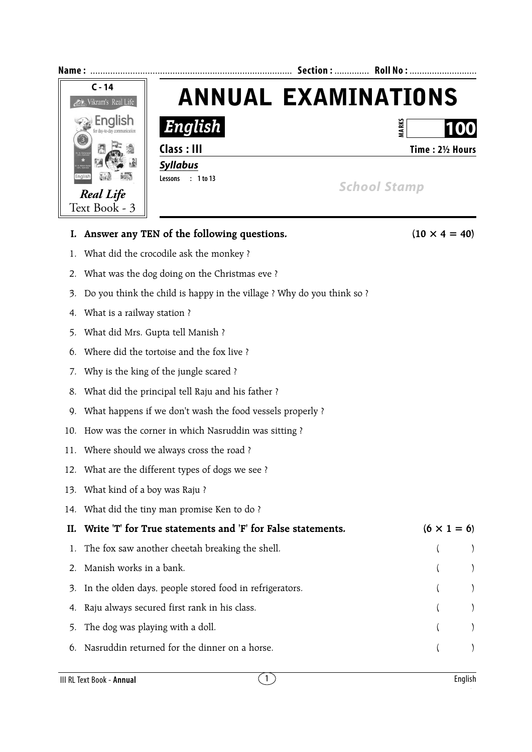

6. Nasruddin returned for the dinner on a horse. ( )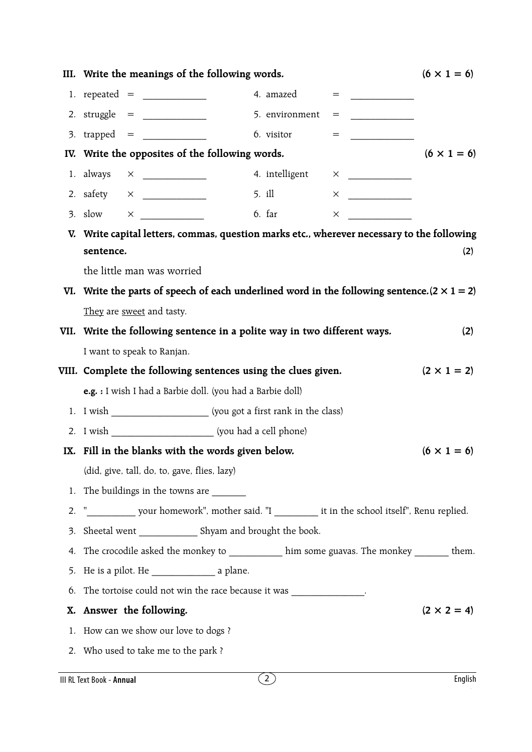|    | III. Write the meanings of the following words.                                                     |  |                |     |          |                    |  |
|----|-----------------------------------------------------------------------------------------------------|--|----------------|-----|----------|--------------------|--|
|    | 1. repeated = $\frac{1}{2}$                                                                         |  | 4. amazed      | $=$ |          |                    |  |
|    | 2. struggle $=$                                                                                     |  | 5. environment | $=$ |          |                    |  |
|    |                                                                                                     |  | 6. visitor     | $=$ |          |                    |  |
|    | IV. Write the opposites of the following words.<br>$(6 \times 1 = 6)$                               |  |                |     |          |                    |  |
|    |                                                                                                     |  | 4. intelligent |     |          |                    |  |
|    |                                                                                                     |  | 5. ill         |     |          |                    |  |
|    |                                                                                                     |  | $6.$ far       |     | $\times$ |                    |  |
|    | V. Write capital letters, commas, question marks etc., wherever necessary to the following          |  |                |     |          |                    |  |
|    | sentence.                                                                                           |  |                |     |          | (2)                |  |
|    | the little man was worried                                                                          |  |                |     |          |                    |  |
|    | VI. Write the parts of speech of each underlined word in the following sentence. $(2 \times 1 = 2)$ |  |                |     |          |                    |  |
|    | They are sweet and tasty.                                                                           |  |                |     |          |                    |  |
|    | VII. Write the following sentence in a polite way in two different ways.                            |  |                |     |          | (2)                |  |
|    | I want to speak to Ranjan.                                                                          |  |                |     |          |                    |  |
|    | VIII. Complete the following sentences using the clues given.<br>$(2 \times 1 = 2)$                 |  |                |     |          |                    |  |
|    | e.g. : I wish I had a Barbie doll. (you had a Barbie doll)                                          |  |                |     |          |                    |  |
|    |                                                                                                     |  |                |     |          |                    |  |
|    |                                                                                                     |  |                |     |          |                    |  |
|    | IX. Fill in the blanks with the words given below.<br>$(6 \times 1 = 6)$                            |  |                |     |          |                    |  |
|    | (did, give, tall, do, to, gave, flies, lazy)                                                        |  |                |     |          |                    |  |
|    | 1. The buildings in the towns are ________                                                          |  |                |     |          |                    |  |
|    |                                                                                                     |  |                |     |          |                    |  |
| 2. |                                                                                                     |  |                |     |          |                    |  |
| 3. | Sheetal went ________________ Shyam and brought the book.                                           |  |                |     |          |                    |  |
| 4. | The crocodile asked the monkey to _____________ him some guavas. The monkey ________ them.          |  |                |     |          |                    |  |
|    |                                                                                                     |  |                |     |          |                    |  |
| 6. | The tortoise could not win the race because it was ______________.                                  |  |                |     |          |                    |  |
| Х. | Answer the following.                                                                               |  |                |     |          | $(2 \times 2 = 4)$ |  |
| 1. | How can we show our love to dogs?                                                                   |  |                |     |          |                    |  |
|    | 2. Who used to take me to the park?                                                                 |  |                |     |          |                    |  |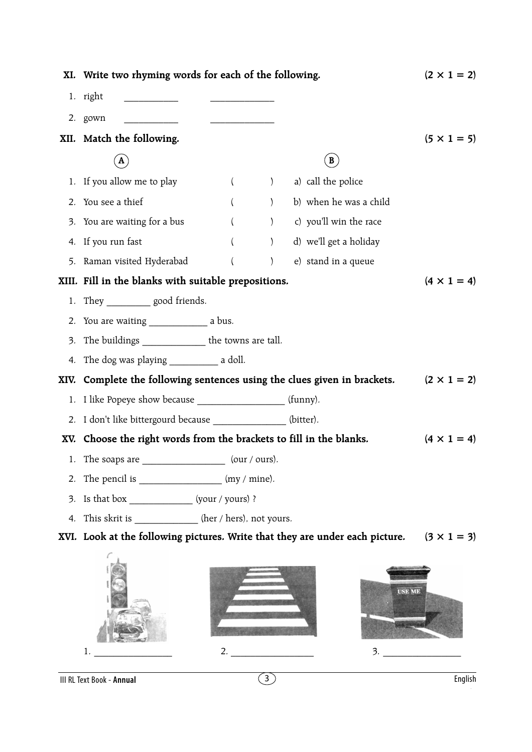|      | XI. Write two rhyming words for each of the following.                                                                                                                                                                                                                                                                                                                                                                                                | $(2 \times 1 = 2)$ |  |  |  |  |  |
|------|-------------------------------------------------------------------------------------------------------------------------------------------------------------------------------------------------------------------------------------------------------------------------------------------------------------------------------------------------------------------------------------------------------------------------------------------------------|--------------------|--|--|--|--|--|
|      | 1. right                                                                                                                                                                                                                                                                                                                                                                                                                                              |                    |  |  |  |  |  |
|      | 2. gown                                                                                                                                                                                                                                                                                                                                                                                                                                               |                    |  |  |  |  |  |
|      | XII. Match the following.                                                                                                                                                                                                                                                                                                                                                                                                                             | $(5 \times 1 = 5)$ |  |  |  |  |  |
|      | $\mathbf{B}$<br>A                                                                                                                                                                                                                                                                                                                                                                                                                                     |                    |  |  |  |  |  |
|      | 1. If you allow me to play<br>a) call the police<br>$\left($<br>$\left( \begin{array}{c} 1 \end{array} \right)$                                                                                                                                                                                                                                                                                                                                       |                    |  |  |  |  |  |
| 2.   | ) b) when he was a child<br>You see a thief<br>$\left($                                                                                                                                                                                                                                                                                                                                                                                               |                    |  |  |  |  |  |
| 3.   | (b) c) you'll win the race<br>You are waiting for a bus<br>$\left($                                                                                                                                                                                                                                                                                                                                                                                   |                    |  |  |  |  |  |
| 4.   | ) d) we'll get a holiday<br>If you run fast<br>$\left($                                                                                                                                                                                                                                                                                                                                                                                               |                    |  |  |  |  |  |
| 5.   | Raman visited Hyderabad<br>e) stand in a queue<br>$\left($<br>$\left( \right)$                                                                                                                                                                                                                                                                                                                                                                        |                    |  |  |  |  |  |
|      | XIII. Fill in the blanks with suitable prepositions.                                                                                                                                                                                                                                                                                                                                                                                                  | $(4 \times 1 = 4)$ |  |  |  |  |  |
|      | 1. They _____________ good friends.                                                                                                                                                                                                                                                                                                                                                                                                                   |                    |  |  |  |  |  |
|      |                                                                                                                                                                                                                                                                                                                                                                                                                                                       |                    |  |  |  |  |  |
| 3.   | The buildings _______________ the towns are tall.                                                                                                                                                                                                                                                                                                                                                                                                     |                    |  |  |  |  |  |
| 4.   |                                                                                                                                                                                                                                                                                                                                                                                                                                                       |                    |  |  |  |  |  |
| XIV. | Complete the following sentences using the clues given in brackets. $(2 \times 1 = 2)$                                                                                                                                                                                                                                                                                                                                                                |                    |  |  |  |  |  |
|      | 1. I like Popeye show because ____________________(funny).                                                                                                                                                                                                                                                                                                                                                                                            |                    |  |  |  |  |  |
|      | 2. I don't like bittergourd because ______________ (bitter).                                                                                                                                                                                                                                                                                                                                                                                          |                    |  |  |  |  |  |
|      | XV. Choose the right words from the brackets to fill in the blanks.                                                                                                                                                                                                                                                                                                                                                                                   | $(4 \times 1 = 4)$ |  |  |  |  |  |
|      | $\frac{1}{\sqrt{1-\frac{1}{\sqrt{1-\frac{1}{\sqrt{1-\frac{1}{\sqrt{1-\frac{1}{\sqrt{1-\frac{1}{\sqrt{1-\frac{1}{\sqrt{1-\frac{1}{\sqrt{1-\frac{1}{\sqrt{1-\frac{1}{\sqrt{1-\frac{1}{\sqrt{1-\frac{1}{\sqrt{1-\frac{1}{\sqrt{1-\frac{1}{\sqrt{1-\frac{1}{\sqrt{1-\frac{1}{\sqrt{1-\frac{1}{\sqrt{1-\frac{1}{\sqrt{1-\frac{1}{\sqrt{1-\frac{1}{\sqrt{1-\frac{1}{\sqrt{1-\frac{1}{\sqrt{1-\frac{1}{\sqrt{1-\frac{1}{\sqrt{1-\frac{1$<br>1. The soaps are |                    |  |  |  |  |  |
| 2.   | The pencil is $\frac{1}{\sqrt{2\pi}}$ (my / mine).                                                                                                                                                                                                                                                                                                                                                                                                    |                    |  |  |  |  |  |
| 3.   | Is that box _________________ (your / yours) ?                                                                                                                                                                                                                                                                                                                                                                                                        |                    |  |  |  |  |  |
| 4.   | This skrit is _____________ (her / hers), not yours.                                                                                                                                                                                                                                                                                                                                                                                                  |                    |  |  |  |  |  |
|      | XVI. Look at the following pictures. Write that they are under each picture. $(3 \times 1 = 3)$                                                                                                                                                                                                                                                                                                                                                       |                    |  |  |  |  |  |
|      | <b>USE ME</b><br>3.<br>1.                                                                                                                                                                                                                                                                                                                                                                                                                             |                    |  |  |  |  |  |

III RL Text Book - **Annual** 3 English